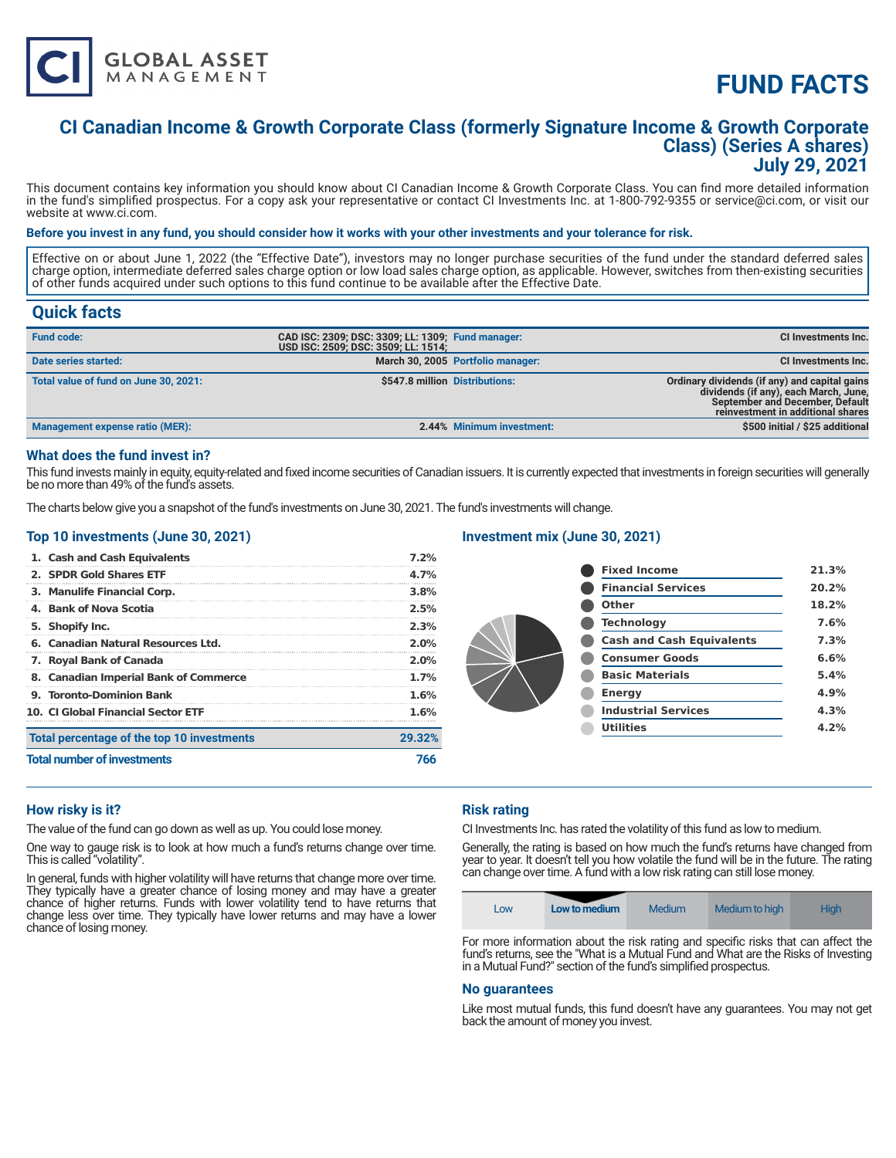

# **FUND FACTS**

### **CI Canadian Income & Growth Corporate Class (formerly Signature Income & Growth Corporate Class) (Series A shares) July 29, 2021**

This document contains key information you should know about CI Canadian Income & Growth Corporate Class. You can find more detailed information in the fund's simplified prospectus. For a copy ask your representative or contact CI Investments Inc. at 1-800-792-9355 or service@ci.com, or visit our website at www.ci.com.

#### **Before you invest in any fund, you should consider how it works with your other investments and your tolerance for risk.**

Effective on or about June 1, 2022 (the "Effective Date"), investors may no longer purchase securities of the fund under the standard deferred sales charge option, intermediate deferred sales charge option or low load sales charge option, as applicable. However, switches from then-existing securities of other funds acquired under such options to this fund continue to be available after the Effective Date.

### **Quick facts**

| <b>Fund code:</b>                     | CAD ISC: 2309; DSC: 3309; LL: 1309; Fund manager:<br>USD ISC: 2509; DSC: 3509; LL: 1514; |                                   | CI Investments Inc.                                                                                                                                                   |
|---------------------------------------|------------------------------------------------------------------------------------------|-----------------------------------|-----------------------------------------------------------------------------------------------------------------------------------------------------------------------|
| Date series started:                  |                                                                                          | March 30, 2005 Portfolio manager: | <b>CI Investments Inc.</b>                                                                                                                                            |
| Total value of fund on June 30, 2021: | \$547.8 million Distributions:                                                           |                                   | Ordinary dividends (if any) and capital gains<br>dividends (if any), each March, June,<br><b>September and December, Default</b><br>reinvestment in additional shares |
| Management expense ratio (MER):       |                                                                                          | 2.44% Minimum investment:         | \$500 initial / \$25 additional                                                                                                                                       |

#### **What does the fund invest in?**

This fund invests mainly in equity, equity-related and fixed income securities of Canadian issuers. It is currently expected that investments in foreign securities will generally be no more than 49% of the fund's assets.

The charts below give you a snapshot of the fund's investments on June 30, 2021. The fund's investments will change.

#### **Top 10 investments (June 30, 2021)**

| 1. Cash and Cash Equivalents               | 7.2%    |
|--------------------------------------------|---------|
| 2. SPDR Gold Shares ETF                    | 4.7%    |
| 3. Manulife Financial Corp.                | 3.8%    |
| 4. Bank of Nova Scotia                     | 2.5%    |
| 5. Shopify Inc.                            | 2.3%    |
| 6. Canadian Natural Resources Ltd.         | $2.0\%$ |
| 7. Royal Bank of Canada                    | $2.0\%$ |
| 8. Canadian Imperial Bank of Commerce      | 1.7%    |
| 9. Toronto-Dominion Bank                   | 1.6%    |
| <b>10. CLGlobal Financial Sector ETF</b>   | 1.6%    |
| Total percentage of the top 10 investments | 29.32%  |
| <b>Total number of investments</b>         | 766     |

#### **Investment mix (June 30, 2021)**

| <b>Fixed Income</b>              | 21.3% |
|----------------------------------|-------|
| <b>Financial Services</b>        | 20.2% |
| Other                            | 18.2% |
| <b>Technology</b>                | 7.6%  |
| <b>Cash and Cash Equivalents</b> | 7.3%  |
| <b>Consumer Goods</b>            | 6.6%  |
| <b>Basic Materials</b>           | 5.4%  |
| <b>Energy</b>                    | 4.9%  |
| <b>Industrial Services</b>       | 4.3%  |
| <b>Utilities</b>                 | 4.2%  |
|                                  |       |

#### **How risky is it?**

The value of the fund can go down as well as up. You could lose money.

One way to gauge risk is to look at how much a fund's returns change over time. This is called "volatility".

In general, funds with higher volatility will have returns that change more over time. They typically have a greater chance of losing money and may have a greater chance of higher returns. Funds with lower volatility tend to have returns that change less over time. They typically have lower returns and may have a lower chance of losing money.

#### **Risk rating**

CI Investments Inc. has rated the volatility of this fund as low to medium.

Generally, the rating is based on how much the fund's returns have changed from year to year. It doesn't tell you how volatile the fund will be in the future. The rating can change over time. A fund with a low risk rating can still lose money.

| LOW | Low to medium | Medium | Medium to high | <b>High</b> |
|-----|---------------|--------|----------------|-------------|
|-----|---------------|--------|----------------|-------------|

For more information about the risk rating and specific risks that can affect the fund's returns, see the "What is a Mutual Fund and What are the Risks of Investing in a Mutual Fund?" section of the fund's simplified prospectus.

#### **No guarantees**

Like most mutual funds, this fund doesn't have any guarantees. You may not get back the amount of money you invest.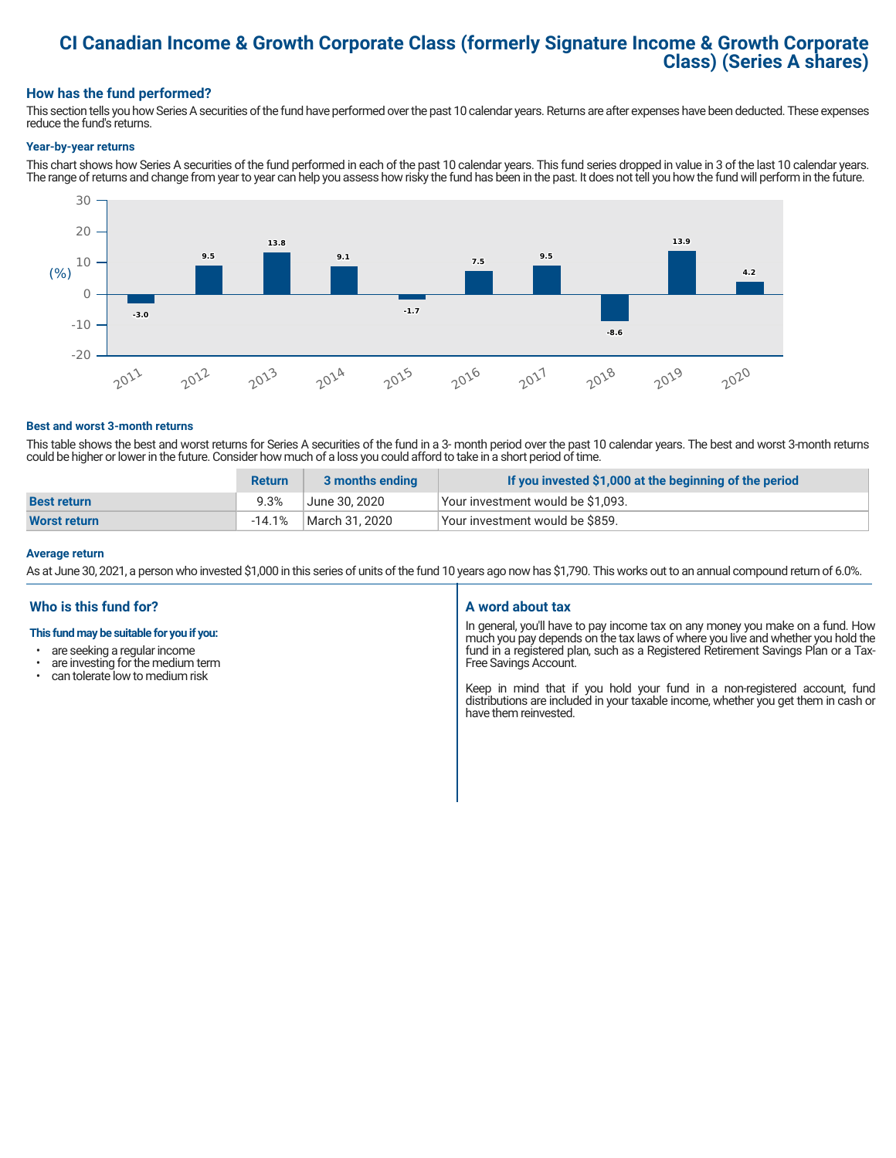## **CI Canadian Income & Growth Corporate Class (formerly Signature Income & Growth Corporate Class) (Series A shares)**

#### **How has the fund performed?**

This section tells you how Series A securities of the fund have performed over the past 10 calendar years. Returns are after expenses have been deducted. These expenses reduce the fund's returns.

#### **Year-by-year returns**

This chart shows how Series A securities of the fund performed in each of the past 10 calendar years. This fund series dropped in value in 3 of the last 10 calendar years. The range of returns and change from year to year can help you assess how risky the fund has been in the past. It does not tell you how the fund will perform in the future.



#### **Best and worst 3-month returns**

This table shows the best and worst returns for Series A securities of the fund in a 3- month period over the past 10 calendar years. The best and worst 3-month returns could be higher or lower in the future. Consider how much of a loss you could afford to take in a short period of time.

|                     | <b>Return</b> | 3 months ending | If you invested \$1,000 at the beginning of the period |
|---------------------|---------------|-----------------|--------------------------------------------------------|
| <b>Best return</b>  | 9.3%          | June 30. 2020   | Your investment would be \$1,093.                      |
| <b>Worst return</b> | $-14.1\%$     | March 31, 2020  | Vour investment would be \$859.                        |

#### **Average return**

As at June 30, 2021, a person who invested \$1,000 in this series of units of the fund 10 years ago now has \$1,790. This works out to an annual compound return of 6.0%.

#### **Who is this fund for?**

#### **This fund may be suitable for you if you:**

- are seeking a regular income
- are investing for the medium term<br>• can telerate low to medium risk
- can tolerate low to medium risk

#### **A word about tax**

In general, you'll have to pay income tax on any money you make on a fund. How much you pay depends on the tax laws of where you live and whether you hold the fund in a registered plan, such as a Registered Retirement Savings Plan or a Tax-Free Savings Account.

Keep in mind that if you hold your fund in a non-registered account, fund distributions are included in your taxable income, whether you get them in cash or have them reinvested.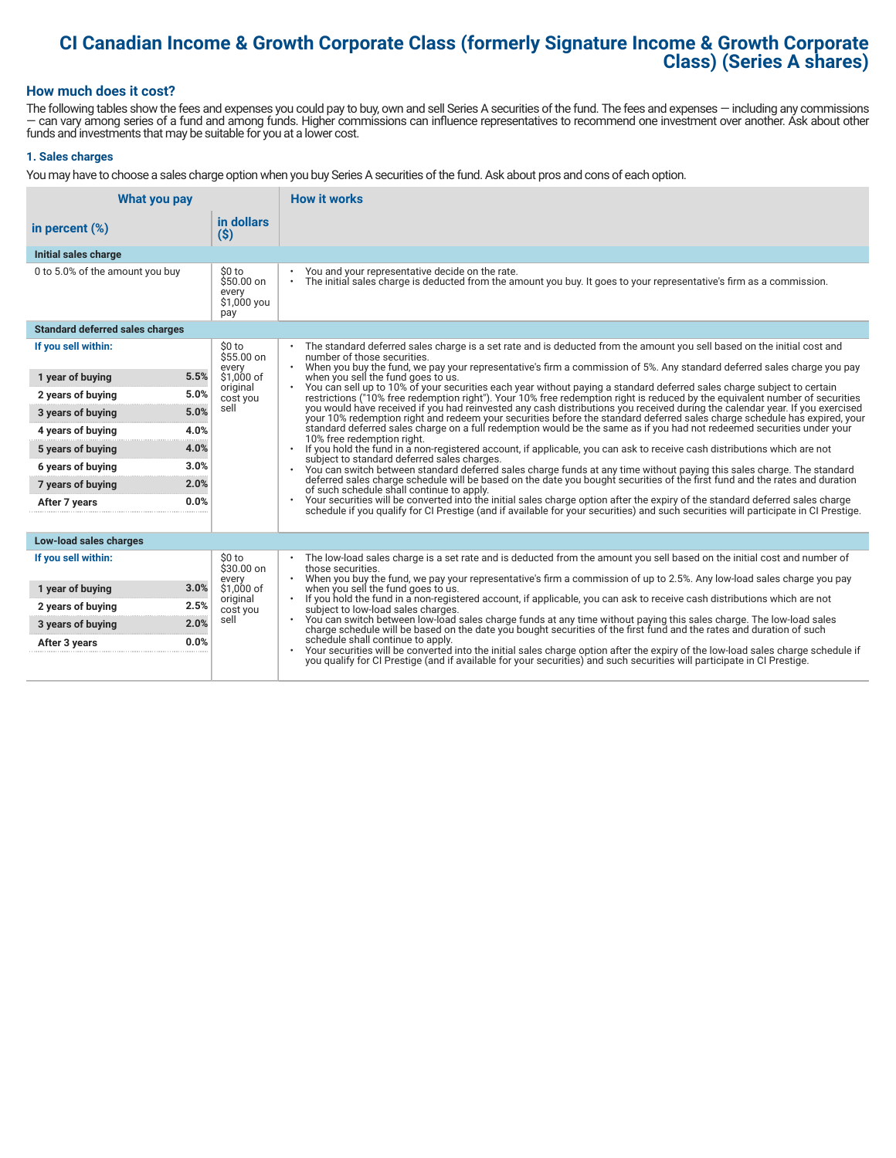# **CI Canadian Income & Growth Corporate Class (formerly Signature Income & Growth Corporate Class) (Series A shares)**

#### **How much does it cost?**

The following tables show the fees and expenses you could pay to buy, own and sell Series A securities of the fund. The fees and expenses — including any commissions — can vary among series of a fund and among funds. Higher commissions can influence representatives to recommend one investment over another. Ask about other funds and investments that may be suitable for you at a lower cost.

#### **1. Sales charges**

You may have to choose a sales charge option when you buy Series A securities of the fund. Ask about pros and cons of each option.

| What you pay                           |                                                      | <b>How it works</b>                                                                                                                                                                                                                                                                                            |
|----------------------------------------|------------------------------------------------------|----------------------------------------------------------------------------------------------------------------------------------------------------------------------------------------------------------------------------------------------------------------------------------------------------------------|
| in percent $(\%)$                      | in dollars<br>$(\$)$                                 |                                                                                                                                                                                                                                                                                                                |
| Initial sales charge                   |                                                      |                                                                                                                                                                                                                                                                                                                |
| 0 to 5.0% of the amount you buy        | \$0 to<br>$$50.00$ on<br>every<br>\$1,000 you<br>pay | You and your representative decide on the rate.<br>The initial sales charge is deducted from the amount you buy. It goes to your representative's firm as a commission.<br>$\bullet$                                                                                                                           |
| <b>Standard deferred sales charges</b> |                                                      |                                                                                                                                                                                                                                                                                                                |
| If you sell within:                    | \$0 to<br>\$55.00 on                                 | The standard deferred sales charge is a set rate and is deducted from the amount you sell based on the initial cost and<br>number of those securities.<br>$\bullet$                                                                                                                                            |
| 5.5%<br>1 year of buying               | every<br>\$1,000 of                                  | When you buy the fund, we pay your representative's firm a commission of 5%. Any standard deferred sales charge you pay<br>when you sell the fund goes to us.                                                                                                                                                  |
| 5.0%<br>2 years of buying              | original<br>cost you                                 | You can sell up to 10% of your securities each year without paying a standard deferred sales charge subject to certain<br>restrictions ("10% free redemption right"). Your 10% free redemption right is reduced by the equivalent number of securities                                                         |
| 5.0%<br>3 years of buying              | sell                                                 | you would have received if you had reinvested any cash distributions you received during the calendar year. If you exercised<br>your 10% redemption right and redeem your securities before the standard deferred sales charge schedule has expired, your                                                      |
| 4.0%<br>4 years of buying              |                                                      | standard deferred sales charge on a full redemption would be the same as if you had not redeemed securities under your<br>10% free redemption right.                                                                                                                                                           |
| 4.0%<br>5 years of buying              |                                                      | If you hold the fund in a non-registered account, if applicable, you can ask to receive cash distributions which are not<br>subject to standard deferred sales charges.<br>You can switch between standard deferred sales charge funds at any time without paying this sales charge. The standard<br>$\bullet$ |
| 3.0%<br>6 years of buying              |                                                      |                                                                                                                                                                                                                                                                                                                |
| 2.0%<br>7 years of buying              |                                                      | deferred sales charge schedule will be based on the date you bought securities of the first fund and the rates and duration<br>of such schedule shall continue to apply.                                                                                                                                       |
| 0.0%<br>After 7 years                  |                                                      | Your securities will be converted into the initial sales charge option after the expiry of the standard deferred sales charge<br>schedule if you qualify for CI Prestige (and if available for your securities) and such securities will participate in CI Prestige.                                           |
| Low-load sales charges                 |                                                      |                                                                                                                                                                                                                                                                                                                |
| If you sell within:                    | \$0 to<br>\$30.00 on<br>every                        | The low-load sales charge is a set rate and is deducted from the amount you sell based on the initial cost and number of<br>those securities.<br>When you buy the fund, we pay your representative's firm a commission of up to 2.5%. Any low-load sales charge you pay                                        |
| 3.0%<br>1 year of buying               | \$1,000 of                                           | when you sell the fund goes to us.<br>If you hold the fund in a non-registered account, if applicable, you can ask to receive cash distributions which are not<br>subject to low-load sales charges.                                                                                                           |
| 2.5%<br>2 years of buying              | original<br>cost you                                 |                                                                                                                                                                                                                                                                                                                |
| 2.0%<br>3 years of buying              | sell                                                 | . You can switch between low-load sales charge funds at any time without paying this sales charge. The low-load sales<br>charge schedule will be based on the date you bought securities of the first fund and the rates and duration of such                                                                  |
| 0.0%<br>After 3 years                  |                                                      | schedule shall continue to apply.<br>Your securities will be converted into the initial sales charge option after the expiry of the low-load sales charge schedule if<br>you qualify for CI Prestige (and if available for your securities) and such securities will participate in CI Prestige.               |